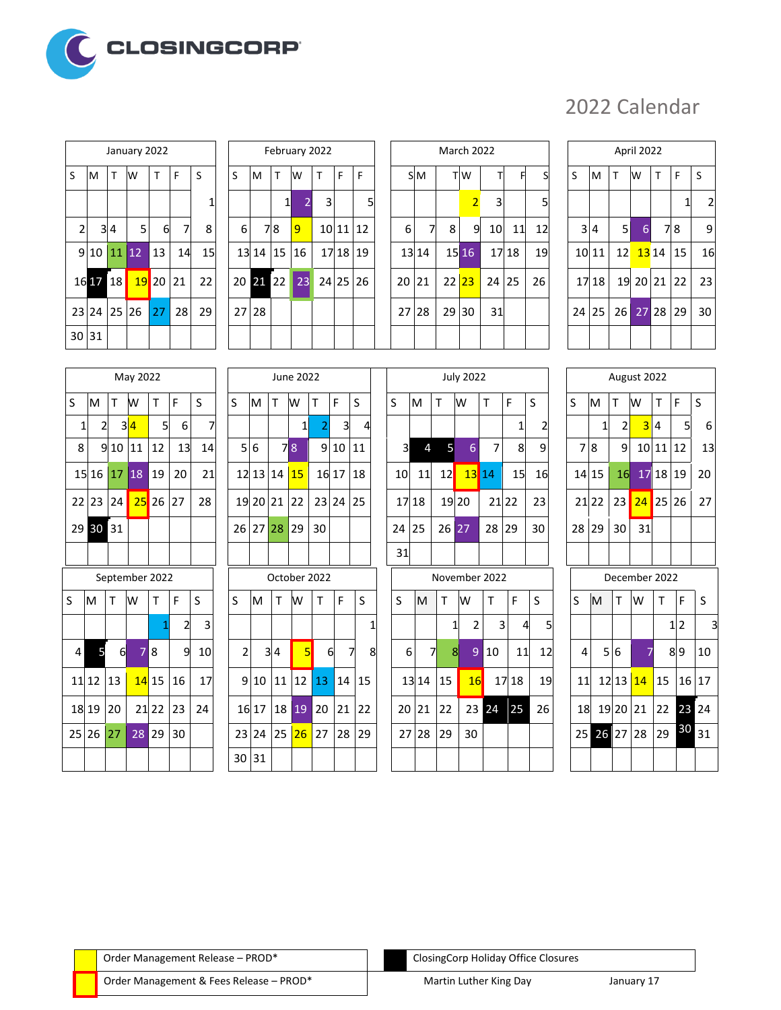

## 2022 Calendar

|             |          |     | January 2022            |    |                |                |
|-------------|----------|-----|-------------------------|----|----------------|----------------|
| S           | M        | T.  | W                       | T. | F              | S              |
|             |          |     |                         |    |                |                |
| $\mathbf 2$ |          | 3 4 | 5                       | 6  | $\overline{7}$ | ٤              |
|             |          |     | 9 10 11 12 13           |    | 14             | $\mathbf{1}$   |
|             | 16 17 18 |     | <mark>  19</mark> 20 21 |    |                | 22             |
|             |          |     | 23 24 25 26 27 28       |    |                | 2 <sub>5</sub> |
| 30 31       |          |     |                         |    |                |                |

|                | January 2022 |              |    |              |       |          |    | February 2022  |   |          |   |  |
|----------------|--------------|--------------|----|--------------|-------|----------|----|----------------|---|----------|---|--|
| т              | W            | т            | F  | S            | S     | M        | т  | lw             | т | F        | F |  |
|                |              |              |    | $\mathbf{1}$ |       |          | 1  | $\overline{2}$ | 3 |          | 5 |  |
| $\overline{4}$ | 5            | 6            | 7  | 8            | 6     | 7        | 8  | 9              |   | 10 11 12 |   |  |
| 11             | $ 12\rangle$ | 13           | 14 | 15           |       | 13 14    | 15 | 16             |   | 17 18 19 |   |  |
| 18             |              | $19$ 20   21 |    | 22           |       | 20 21 22 |    | 23             |   | 24 25 26 |   |  |
| 25 26          |              | 27           | 28 | 29           | 27 28 |          |    |                |   |          |   |  |
|                |              |              |    |              |       |          |    |                |   |          |   |  |

|                |             |              | January 2022 |              |    |    |       |            |    | February 2022  |   |          |   |       |       |    | <b>March 2022</b> |                 |       |    |       |       |                 | April 2022 |             |    |                         |
|----------------|-------------|--------------|--------------|--------------|----|----|-------|------------|----|----------------|---|----------|---|-------|-------|----|-------------------|-----------------|-------|----|-------|-------|-----------------|------------|-------------|----|-------------------------|
| S              | M           | $\mathsf{T}$ | W            | $\mathsf{T}$ | F  | S  | S     | ΙM         | T. | W              | T | F        | F |       | S M   |    | T <sub>W</sub>    | TI.             | F     | S  | S     | M     | T               | W          | T           | F  | S                       |
|                |             |              |              |              |    |    |       |            | 1  |                | 3 |          | 5 |       |       |    | $\overline{2}$    | 3               |       | 5  |       |       |                 |            |             |    | $\overline{\mathbf{c}}$ |
| $\overline{2}$ |             | 34           | 5            | 6            | 7  | 8  | 6     |            | 78 | $\overline{9}$ |   | 10 11 12 |   | 6     | 7     | 8  | 9                 | 10 <sup>1</sup> | 11    | 12 |       | 3 4   | 5 <sub>l</sub>  | 6          |             | 78 | 9                       |
|                | 9 10        | 11112        |              | 13           | 14 | 15 |       | $13$ 14 15 |    | 16             |   | 17 18 19 |   |       | 13 14 |    | 15 16             |                 | 17 18 | 19 |       | 10 11 | 12              |            | $1314$ 15   |    | 16                      |
|                | 16 17 18    |              |              | $19$ 20 21   |    | 22 |       | 20 21 22   |    | 23             |   | 24 25 26 |   | 20 21 |       |    | 22 23             | 24 25           |       | 26 |       | 17 18 |                 |            | 19 20 21 22 |    | 23                      |
|                | 23 24 25 26 |              |              | 27           | 28 | 29 | 27 28 |            |    |                |   |          |   | 27 28 |       | 29 | 30                | 31              |       |    | 24 25 |       | 26 <sup>1</sup> |            | $27$ 28 29  |    | 30                      |
|                | 30 31       |              |              |              |    |    |       |            |    |                |   |          |   |       |       |    |                   |                 |       |    |       |       |                 |            |             |    |                         |

|       | April 2022     |             |                |             |    |                |  |  |  |  |  |  |  |  |
|-------|----------------|-------------|----------------|-------------|----|----------------|--|--|--|--|--|--|--|--|
|       |                |             |                |             |    |                |  |  |  |  |  |  |  |  |
| S     | M              | T.          | W              | T           | F  | S              |  |  |  |  |  |  |  |  |
|       |                |             |                |             | 1  | $\overline{c}$ |  |  |  |  |  |  |  |  |
|       | 3 <sup>4</sup> | 5           | $\overline{6}$ |             | 78 | 9              |  |  |  |  |  |  |  |  |
|       | 10 11          |             | 12 13 14       |             | 15 | 16             |  |  |  |  |  |  |  |  |
|       | 17 18          |             |                | 19 20 21 22 |    | 23             |  |  |  |  |  |  |  |  |
| 24 25 |                | 26 27 28 29 |                |             |    | 30             |  |  |  |  |  |  |  |  |
|       |                |             |                |             |    |                |  |  |  |  |  |  |  |  |

|              |                |     | May 2022          |    |    |    |
|--------------|----------------|-----|-------------------|----|----|----|
| S            | M              | T W |                   | T. | F  | S  |
| $\mathbf{1}$ | $\overline{2}$ |     | $3\overline{4}$   | 5  | 6  |    |
| 8            |                |     | 9 10 11 12        |    | 13 | 14 |
|              |                |     | 15 16 17 18 19    |    | 20 | 21 |
|              |                |     | 22 23 24 25 26 27 |    |    | 28 |
|              | 29 30 31       |     |                   |    |    |    |
|              |                |     |                   |    |    |    |

|    |            |             | September 2022 |            |                |    |
|----|------------|-------------|----------------|------------|----------------|----|
| S. | M          | $\mathsf T$ | W              | т          | F              | S  |
|    |            |             |                | 1          | $\overline{2}$ | 3  |
| 4  | 5          | 6           | 78             |            | 9              | 10 |
|    | $11$ 12 13 |             |                | $14$ 15 16 |                | 17 |
|    | $18$ 19 20 |             |                | $21$ 22 23 |                | 24 |
|    |            | 25 26 27    |                | 28 29      | 30             |    |
|    |            |             |                |            |                |    |

|                         | May 2022    |      |                         |    |    |        |    | June 2022    |                 |                 |     |   |
|-------------------------|-------------|------|-------------------------|----|----|--------|----|--------------|-----------------|-----------------|-----|---|
| Ľ                       | w           | T    | F                       | S  | S  | M      | т  | W            | т               | F               | S   |   |
| $\overline{\mathsf{3}}$ | 4           | 5    | 6                       | 7  |    |        |    | 1            | $\overline{2}$  | 3               | 4   |   |
| LO.                     | 11          | 12   | 13                      | 14 | 5  | 6      |    | 78           | 9               | 10              | 11  |   |
| 17                      | 18          | 19   | 20                      | 21 |    | 12 13  | 14 | 15           | 16 17           |                 | 18  |   |
| $\frac{1}{4}$           | 25          | 26   | 27                      | 28 |    | 19 20  | 21 | 22           | 23              | 24              | 25  |   |
| $^{1}$                  |             |      |                         |    | 26 | 27     | 28 | 29           | 30              |                 |     |   |
|                         |             |      |                         |    |    |        |    |              |                 |                 |     |   |
|                         | tember 2022 |      |                         |    |    |        |    | October 2022 |                 |                 |     |   |
| Ĭ,                      | W           | Т    | F                       | S  | S  | M      | Τ  | W            | Т               | F               | S   |   |
|                         |             | 1    | $\overline{\mathbf{c}}$ | 3  |    |        |    |              |                 |                 |     | 1 |
| $\mathbf{e}$            | 7           | 8    | 9                       | 10 | 2  | 3      | 4  | 5            | 6               |                 | 7   | ٤ |
| 2                       |             | 1115 | 16                      | 17 |    | $Q$ 10 | 11 | 12           | 12 <sub>1</sub> | 11 <sub>1</sub> | 115 |   |

|              |          |   | May 2022       |                |    |    |   |     |             | June 2022 |              |                         |                |                         |       |                 | <b>July 2022</b> |    |       |    |    |       | August 2022     |            |              |   |    |
|--------------|----------|---|----------------|----------------|----|----|---|-----|-------------|-----------|--------------|-------------------------|----------------|-------------------------|-------|-----------------|------------------|----|-------|----|----|-------|-----------------|------------|--------------|---|----|
| S.           | ΙM       | T | w              | T              | F  | S  | S | lм  | T           | W         | T            | F                       | S              | S                       | M     | T               | W                | T  | F     | S  | S  | M     | T               | W          | $\mathsf{T}$ | F | S  |
| $\mathbf{1}$ | 2        |   | 3 4            | 5 <sup>1</sup> | 6  | 7  |   |     |             | 1         |              | $\overline{\mathsf{d}}$ | $\overline{4}$ |                         |       |                 |                  |    |       |    |    | 1     | $\overline{2}$  |            | 3 4          | 5 | 6  |
| 8            |          |   | 91011          | 12             | 13 | 14 |   | 5 6 |             | 78        | 9            | 10 11                   |                | $\overline{\mathbf{3}}$ | 4     | 51              | 6                | 7  | 8     | 9  | 7  | 8     | 9               |            | 10 11 12     |   | 13 |
|              |          |   | 15 16 17 18    | 19             | 20 | 21 |   |     | 12 13 14    | 15        |              | $1617$ 18               |                | 10 <sup>1</sup>         | 11    | 12 <sup>l</sup> | 13114            |    | 15    | 16 |    | 14 15 | 16 <sup>l</sup> |            | 171819       |   | 20 |
|              | 22 23 24 |   |                | $25$ 26 27     |    | 28 |   |     | 19 20 21 22 |           |              | 23 24 25                |                |                         | 17 18 |                 | 19 20            |    | 21 22 | 23 |    | 21 22 | 23 <sup>1</sup> | $24$ 25 26 |              |   | 27 |
|              | 29 30 31 |   |                |                |    |    |   |     | 26 27 28 29 |           | 30           |                         |                | 24 25                   |       |                 | $26\,27$         | 28 | 29    | 30 | 28 | 29    | 30 <sup>1</sup> | 31         |              |   |    |
|              |          |   |                |                |    |    |   |     |             |           |              |                         |                | 31                      |       |                 |                  |    |       |    |    |       |                 |            |              |   |    |
|              |          |   | September 2022 |                |    |    |   |     |             |           | October 2022 |                         |                |                         |       |                 | November 2022    |    |       |    |    |       | December 2022   |            |              |   |    |

|    |          |              | <b>SCALCHINGL COLL</b> |            |    |    |   |                 |    | <b>OLIUDEI ZUZZ</b> |              |              |    |       |       |          |       | <b>IVUVEIIINEI ZUZZ</b> |           |                 |                |   |     |                | DECENINEL ZUZZ           |                 |    |
|----|----------|--------------|------------------------|------------|----|----|---|-----------------|----|---------------------|--------------|--------------|----|-------|-------|----------|-------|-------------------------|-----------|-----------------|----------------|---|-----|----------------|--------------------------|-----------------|----|
| S. | IM.      | $\mathsf{T}$ | lW                     | T          | F  | S  | S | ΙM              |    | W                   | $\mathsf{T}$ | F            | S  | S     | M     | т        | W     |                         | F         | S               | S              | M | Т   | <b>W</b>       | T                        | F.              | -S |
|    |          |              |                        |            |    | 3  |   |                 |    |                     |              |              |    |       |       |          |       | 3 <sub>l</sub>          | 4         |                 |                |   |     |                |                          | $1\overline{2}$ | 3  |
| 4  |          | 6            |                        | 78         | 9  | 10 |   | 2               | 34 | 51                  | 6            |              | 8  | 6     | 71    | 8        | - 9   | 10                      | 11        | 12 <sup>1</sup> | $\overline{a}$ |   | 5 6 |                |                          | 89              | 10 |
|    | 11 12    | <b>13</b>    |                        | $14$ 15    | 16 | 17 |   | $9 10 11 12$ 13 |    |                     |              | $ 14\rangle$ | 15 |       |       | 13 14 15 | 16    |                         | 17 18     | 19              | 11             |   |     |                | 12 13 <mark>14</mark> 15 | 16 17           |    |
|    | 18 19    | 20           |                        | $21$ 22 23 |    | 24 |   | 16 17 18 19     |    |                     | 20 21        |              | 22 | 20 21 |       | 22       | 23 24 |                         | <b>25</b> | 26              | 18             |   |     |                | 19 20 21 22 23 24        |                 |    |
|    | 25 26 27 |              |                        | $28$ 29 30 |    |    |   | 23 24 25 26 27  |    |                     |              | 28 29        |    |       | 27 28 | 29       | 30    |                         |           |                 |                |   |     | 25 26 27 28 29 |                          | $30_{31}$       |    |
|    |          |              |                        |            |    |    |   | 30 31           |    |                     |              |              |    |       |       |          |       |                         |           |                 |                |   |     |                |                          |                 |    |

|                |                             |    | August 2022 |   |   |    |  |  |  |  |  |
|----------------|-----------------------------|----|-------------|---|---|----|--|--|--|--|--|
| S              | M                           | т  | W           | т | F | S  |  |  |  |  |  |
|                | 1                           | 2  | 3 4         |   | 5 | 6  |  |  |  |  |  |
|                | $10$ 11 12<br>9<br>78<br>13 |    |             |   |   |    |  |  |  |  |  |
|                | 14 15                       |    | 16 17 18 19 |   |   | 20 |  |  |  |  |  |
|                | $21$ 22   23                |    | 24 25 26    |   |   | 27 |  |  |  |  |  |
|                | 28 29                       | 30 | 31          |   |   |    |  |  |  |  |  |
| $\overline{a}$ |                             |    |             |   |   |    |  |  |  |  |  |

|    |     |          | December 2022            |    |                |    |
|----|-----|----------|--------------------------|----|----------------|----|
| S. | M   | T.       | W                        |    | F              | S  |
|    |     |          |                          |    | 1 <sub>2</sub> | 3  |
| 4  | 5 6 |          | 7                        |    | 8 9            | 10 |
| 11 |     |          | 12 13 <mark>14</mark> 15 |    | 16 17          |    |
| 18 |     | 19 20 21 |                          | 22 | 23             | 24 |
| 25 |     | 26 27 28 |                          | 29 | 30             | 31 |
|    |     |          |                          |    |                |    |

Order Management Release – PROD\* ClosingCorp Holiday Office Closures

Order Management & Fees Release – PROD\* Martin Luther King Day Martin Luther King Day